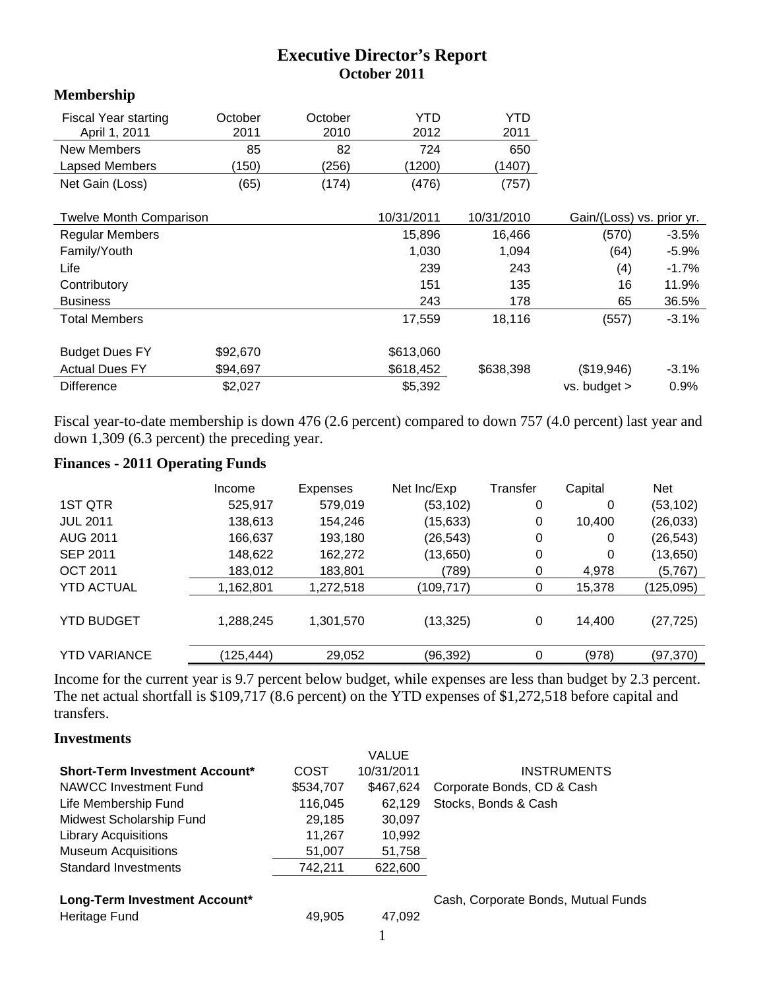# **Executive Director's Report October 2011**

## **Membership**

| <b>Fiscal Year starting</b> | October | October | YTD    | YTD    |
|-----------------------------|---------|---------|--------|--------|
| April 1, 2011               | 2011    | 2010    | 2012   | 2011   |
| New Members                 | 85      | 82      | 724    | 650    |
| Lapsed Members              | 150)    | (256)   | (1200) | (1407) |
| Net Gain (Loss)             | (65)    | (174)   | (476)  | (757)  |

| <b>Twelve Month Comparison</b> |          | 10/31/2011 | 10/31/2010 | Gain/(Loss) vs. prior yr. |          |
|--------------------------------|----------|------------|------------|---------------------------|----------|
| <b>Regular Members</b>         |          | 15,896     | 16,466     | (570)                     | $-3.5%$  |
| Family/Youth                   |          | 1,030      | 1,094      | (64)                      | $-5.9\%$ |
| Life                           |          | 239        | 243        | (4)                       | $-1.7%$  |
| Contributory                   |          | 151        | 135        | 16                        | 11.9%    |
| <b>Business</b>                |          | 243        | 178        | 65                        | 36.5%    |
| <b>Total Members</b>           |          | 17,559     | 18,116     | (557)                     | $-3.1%$  |
|                                |          |            |            |                           |          |
| <b>Budget Dues FY</b>          | \$92,670 | \$613,060  |            |                           |          |
| <b>Actual Dues FY</b>          | \$94,697 | \$618,452  | \$638,398  | (\$19,946)                | $-3.1%$  |
| <b>Difference</b>              | \$2,027  | \$5,392    |            | $vs.$ budget $>$          | 0.9%     |

Fiscal year-to-date membership is down 476 (2.6 percent) compared to down 757 (4.0 percent) last year and down 1,309 (6.3 percent) the preceding year.

## **Finances - 2011 Operating Funds**

|                     | Income     | Expenses  | Net Inc/Exp | Transfer | Capital | <b>Net</b> |
|---------------------|------------|-----------|-------------|----------|---------|------------|
| 1ST QTR             | 525,917    | 579,019   | (53,102)    | 0        | 0       | (53, 102)  |
| <b>JUL 2011</b>     | 138,613    | 154,246   | (15, 633)   | 0        | 10,400  | (26, 033)  |
| <b>AUG 2011</b>     | 166,637    | 193,180   | (26, 543)   | 0        | 0       | (26, 543)  |
| <b>SEP 2011</b>     | 148,622    | 162,272   | (13,650)    | 0        | 0       | (13,650)   |
| <b>OCT 2011</b>     | 183,012    | 183,801   | (789)       | 0        | 4,978   | (5,767)    |
| <b>YTD ACTUAL</b>   | 1,162,801  | 1,272,518 | (109, 717)  | 0        | 15,378  | (125, 095) |
| <b>YTD BUDGET</b>   | 1,288,245  | 1,301,570 | (13, 325)   | 0        | 14,400  | (27, 725)  |
| <b>YTD VARIANCE</b> | (125, 444) | 29,052    | (96,392)    | 0        | (978)   | (97, 370)  |

Income for the current year is 9.7 percent below budget, while expenses are less than budget by 2.3 percent. The net actual shortfall is \$109,717 (8.6 percent) on the YTD expenses of \$1,272,518 before capital and transfers.

#### **Investments**

|                                       |           | <b>VALUE</b> |                            |
|---------------------------------------|-----------|--------------|----------------------------|
| <b>Short-Term Investment Account*</b> | COST      | 10/31/2011   | <b>INSTRUMENTS</b>         |
| <b>NAWCC Investment Fund</b>          | \$534,707 | \$467.624    | Corporate Bonds, CD & Cash |
| Life Membership Fund                  | 116,045   | 62.129       | Stocks, Bonds & Cash       |
| Midwest Scholarship Fund              | 29,185    | 30,097       |                            |
| <b>Library Acquisitions</b>           | 11.267    | 10,992       |                            |
| <b>Museum Acquisitions</b>            | 51,007    | 51,758       |                            |
| <b>Standard Investments</b>           | 742.211   | 622,600      |                            |
|                                       |           |              |                            |

| <b>Heritage Fund</b> | 49,905 | 47,092 |
|----------------------|--------|--------|
|                      |        |        |

Long-Term Investment Account<sup>\*</sup> **Cash, Corporate Bonds, Mutual Funds**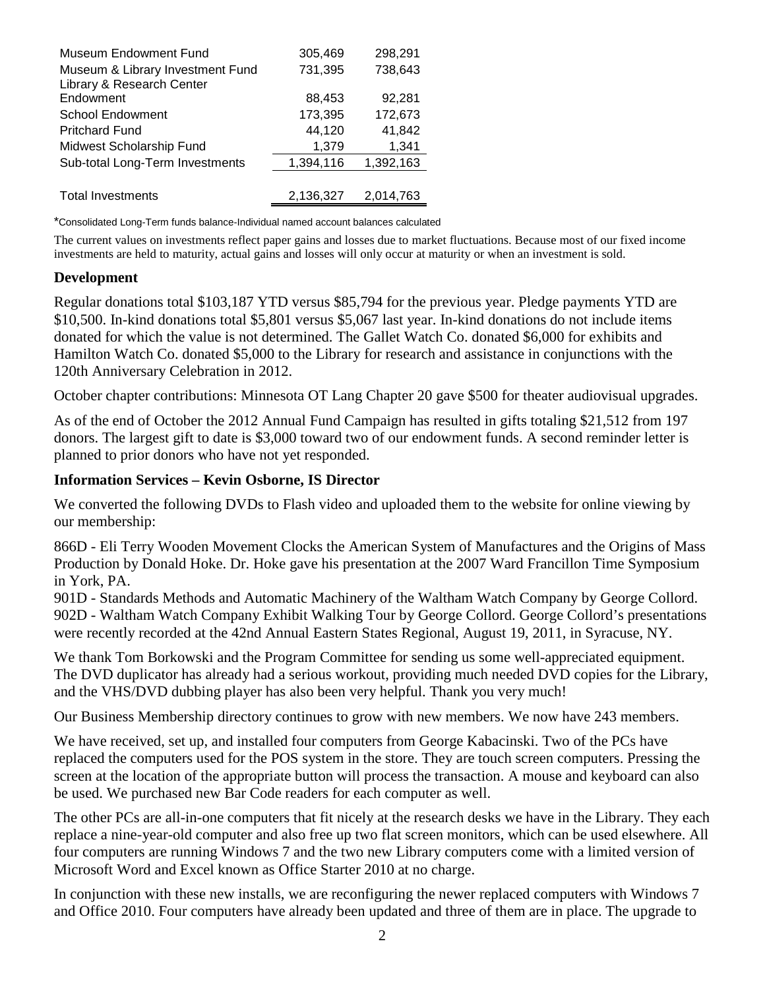| Museum Endowment Fund            | 305,469   | 298,291   |
|----------------------------------|-----------|-----------|
| Museum & Library Investment Fund | 731,395   | 738,643   |
| Library & Research Center        |           |           |
| Endowment                        | 88,453    | 92,281    |
| <b>School Endowment</b>          | 173,395   | 172,673   |
| <b>Pritchard Fund</b>            | 44,120    | 41,842    |
| Midwest Scholarship Fund         | 1,379     | 1,341     |
| Sub-total Long-Term Investments  | 1,394,116 | 1,392,163 |
|                                  |           |           |
| <b>Total Investments</b>         | 2,136,327 | 2,014,763 |

\*Consolidated Long-Term funds balance-Individual named account balances calculated

The current values on investments reflect paper gains and losses due to market fluctuations. Because most of our fixed income investments are held to maturity, actual gains and losses will only occur at maturity or when an investment is sold.

#### **Development**

Regular donations total \$103,187 YTD versus \$85,794 for the previous year. Pledge payments YTD are \$10,500. In-kind donations total \$5,801 versus \$5,067 last year. In-kind donations do not include items donated for which the value is not determined. The Gallet Watch Co. donated \$6,000 for exhibits and Hamilton Watch Co. donated \$5,000 to the Library for research and assistance in conjunctions with the 120th Anniversary Celebration in 2012.

October chapter contributions: Minnesota OT Lang Chapter 20 gave \$500 for theater audiovisual upgrades.

As of the end of October the 2012 Annual Fund Campaign has resulted in gifts totaling \$21,512 from 197 donors. The largest gift to date is \$3,000 toward two of our endowment funds. A second reminder letter is planned to prior donors who have not yet responded.

#### **Information Services – Kevin Osborne, IS Director**

We converted the following DVDs to Flash video and uploaded them to the website for online viewing by our membership:

866D - Eli Terry Wooden Movement Clocks the American System of Manufactures and the Origins of Mass Production by Donald Hoke. Dr. Hoke gave his presentation at the 2007 Ward Francillon Time Symposium in York, PA.

901D - Standards Methods and Automatic Machinery of the Waltham Watch Company by George Collord. 902D - Waltham Watch Company Exhibit Walking Tour by George Collord. George Collord's presentations were recently recorded at the 42nd Annual Eastern States Regional, August 19, 2011, in Syracuse, NY.

We thank Tom Borkowski and the Program Committee for sending us some well-appreciated equipment. The DVD duplicator has already had a serious workout, providing much needed DVD copies for the Library, and the VHS/DVD dubbing player has also been very helpful. Thank you very much!

Our Business Membership directory continues to grow with new members. We now have 243 members.

We have received, set up, and installed four computers from George Kabacinski. Two of the PCs have replaced the computers used for the POS system in the store. They are touch screen computers. Pressing the screen at the location of the appropriate button will process the transaction. A mouse and keyboard can also be used. We purchased new Bar Code readers for each computer as well.

The other PCs are all-in-one computers that fit nicely at the research desks we have in the Library. They each replace a nine-year-old computer and also free up two flat screen monitors, which can be used elsewhere. All four computers are running Windows 7 and the two new Library computers come with a limited version of Microsoft Word and Excel known as Office Starter 2010 at no charge.

In conjunction with these new installs, we are reconfiguring the newer replaced computers with Windows 7 and Office 2010. Four computers have already been updated and three of them are in place. The upgrade to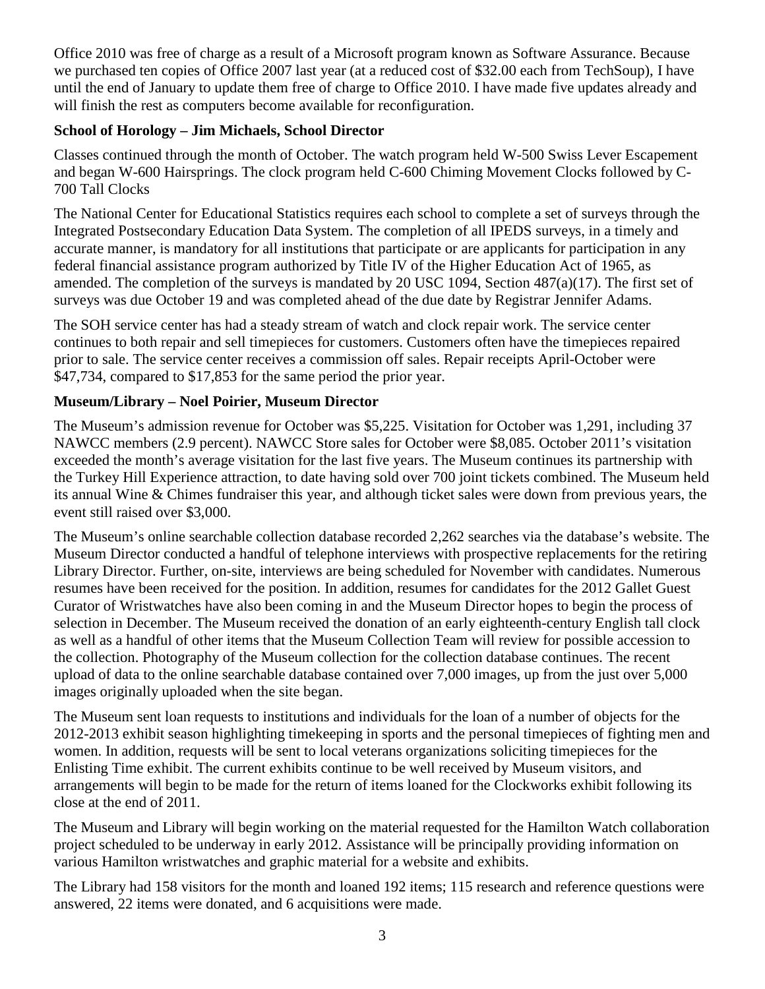Office 2010 was free of charge as a result of a Microsoft program known as Software Assurance. Because we purchased ten copies of Office 2007 last year (at a reduced cost of \$32.00 each from TechSoup), I have until the end of January to update them free of charge to Office 2010. I have made five updates already and will finish the rest as computers become available for reconfiguration.

# **School of Horology – Jim Michaels, School Director**

Classes continued through the month of October. The watch program held W-500 Swiss Lever Escapement and began W-600 Hairsprings. The clock program held C-600 Chiming Movement Clocks followed by C-700 Tall Clocks

The National Center for Educational Statistics requires each school to complete a set of surveys through the Integrated Postsecondary Education Data System. The completion of all IPEDS surveys, in a timely and accurate manner, is mandatory for all institutions that participate or are applicants for participation in any federal financial assistance program authorized by Title IV of the Higher Education Act of 1965, as amended. The completion of the surveys is mandated by 20 USC 1094, Section 487(a)(17). The first set of surveys was due October 19 and was completed ahead of the due date by Registrar Jennifer Adams.

The SOH service center has had a steady stream of watch and clock repair work. The service center continues to both repair and sell timepieces for customers. Customers often have the timepieces repaired prior to sale. The service center receives a commission off sales. Repair receipts April-October were \$47,734, compared to \$17,853 for the same period the prior year.

# **Museum/Library – Noel Poirier, Museum Director**

The Museum's admission revenue for October was \$5,225. Visitation for October was 1,291, including 37 NAWCC members (2.9 percent). NAWCC Store sales for October were \$8,085. October 2011's visitation exceeded the month's average visitation for the last five years. The Museum continues its partnership with the Turkey Hill Experience attraction, to date having sold over 700 joint tickets combined. The Museum held its annual Wine & Chimes fundraiser this year, and although ticket sales were down from previous years, the event still raised over \$3,000.

The Museum's online searchable collection database recorded 2,262 searches via the database's website. The Museum Director conducted a handful of telephone interviews with prospective replacements for the retiring Library Director. Further, on-site, interviews are being scheduled for November with candidates. Numerous resumes have been received for the position. In addition, resumes for candidates for the 2012 Gallet Guest Curator of Wristwatches have also been coming in and the Museum Director hopes to begin the process of selection in December. The Museum received the donation of an early eighteenth-century English tall clock as well as a handful of other items that the Museum Collection Team will review for possible accession to the collection. Photography of the Museum collection for the collection database continues. The recent upload of data to the online searchable database contained over 7,000 images, up from the just over 5,000 images originally uploaded when the site began.

The Museum sent loan requests to institutions and individuals for the loan of a number of objects for the 2012-2013 exhibit season highlighting timekeeping in sports and the personal timepieces of fighting men and women. In addition, requests will be sent to local veterans organizations soliciting timepieces for the Enlisting Time exhibit. The current exhibits continue to be well received by Museum visitors, and arrangements will begin to be made for the return of items loaned for the Clockworks exhibit following its close at the end of 2011.

The Museum and Library will begin working on the material requested for the Hamilton Watch collaboration project scheduled to be underway in early 2012. Assistance will be principally providing information on various Hamilton wristwatches and graphic material for a website and exhibits.

The Library had 158 visitors for the month and loaned 192 items; 115 research and reference questions were answered, 22 items were donated, and 6 acquisitions were made.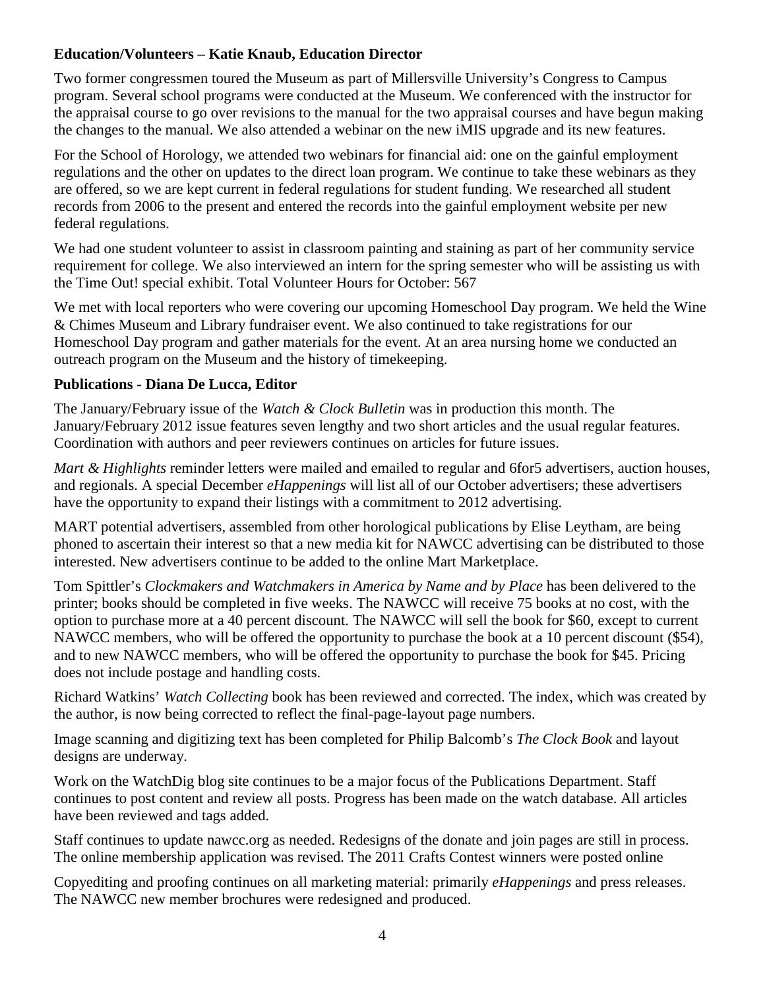## **Education/Volunteers – Katie Knaub, Education Director**

Two former congressmen toured the Museum as part of Millersville University's Congress to Campus program. Several school programs were conducted at the Museum. We conferenced with the instructor for the appraisal course to go over revisions to the manual for the two appraisal courses and have begun making the changes to the manual. We also attended a webinar on the new iMIS upgrade and its new features.

For the School of Horology, we attended two webinars for financial aid: one on the gainful employment regulations and the other on updates to the direct loan program. We continue to take these webinars as they are offered, so we are kept current in federal regulations for student funding. We researched all student records from 2006 to the present and entered the records into the gainful employment website per new federal regulations.

We had one student volunteer to assist in classroom painting and staining as part of her community service requirement for college. We also interviewed an intern for the spring semester who will be assisting us with the Time Out! special exhibit. Total Volunteer Hours for October: 567

We met with local reporters who were covering our upcoming Homeschool Day program. We held the Wine & Chimes Museum and Library fundraiser event. We also continued to take registrations for our Homeschool Day program and gather materials for the event. At an area nursing home we conducted an outreach program on the Museum and the history of timekeeping.

## **Publications - Diana De Lucca, Editor**

The January/February issue of the *Watch & Clock Bulletin* was in production this month. The January/February 2012 issue features seven lengthy and two short articles and the usual regular features. Coordination with authors and peer reviewers continues on articles for future issues.

*Mart & Highlights* reminder letters were mailed and emailed to regular and 6for5 advertisers, auction houses, and regionals. A special December *eHappenings* will list all of our October advertisers; these advertisers have the opportunity to expand their listings with a commitment to 2012 advertising.

MART potential advertisers, assembled from other horological publications by Elise Leytham, are being phoned to ascertain their interest so that a new media kit for NAWCC advertising can be distributed to those interested. New advertisers continue to be added to the online Mart Marketplace.

Tom Spittler's *Clockmakers and Watchmakers in America by Name and by Place* has been delivered to the printer; books should be completed in five weeks. The NAWCC will receive 75 books at no cost, with the option to purchase more at a 40 percent discount. The NAWCC will sell the book for \$60, except to current NAWCC members, who will be offered the opportunity to purchase the book at a 10 percent discount (\$54), and to new NAWCC members, who will be offered the opportunity to purchase the book for \$45. Pricing does not include postage and handling costs.

Richard Watkins' *Watch Collecting* book has been reviewed and corrected. The index, which was created by the author, is now being corrected to reflect the final-page-layout page numbers.

Image scanning and digitizing text has been completed for Philip Balcomb's *The Clock Book* and layout designs are underway.

Work on the WatchDig blog site continues to be a major focus of the Publications Department. Staff continues to post content and review all posts. Progress has been made on the watch database. All articles have been reviewed and tags added.

Staff continues to update nawcc.org as needed. Redesigns of the donate and join pages are still in process. The online membership application was revised. The 2011 Crafts Contest winners were posted online

Copyediting and proofing continues on all marketing material: primarily *eHappenings* and press releases. The NAWCC new member brochures were redesigned and produced.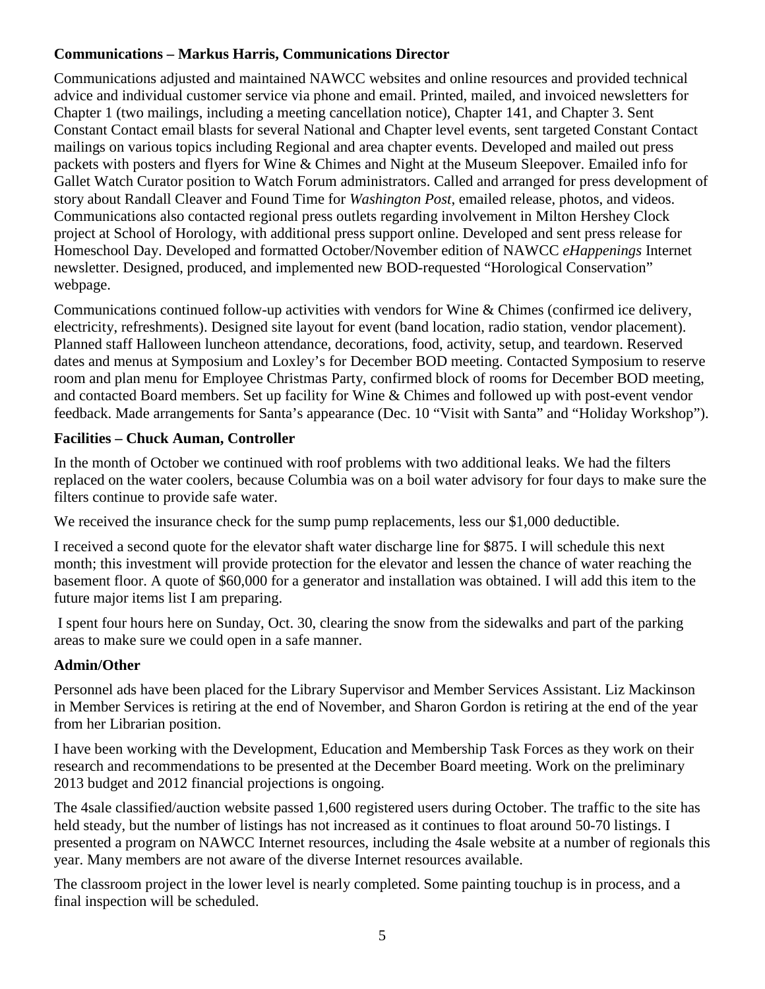# **Communications – Markus Harris, Communications Director**

Communications adjusted and maintained NAWCC websites and online resources and provided technical advice and individual customer service via phone and email. Printed, mailed, and invoiced newsletters for Chapter 1 (two mailings, including a meeting cancellation notice), Chapter 141, and Chapter 3. Sent Constant Contact email blasts for several National and Chapter level events, sent targeted Constant Contact mailings on various topics including Regional and area chapter events. Developed and mailed out press packets with posters and flyers for Wine & Chimes and Night at the Museum Sleepover. Emailed info for Gallet Watch Curator position to Watch Forum administrators. Called and arranged for press development of story about Randall Cleaver and Found Time for *Washington Post*, emailed release, photos, and videos. Communications also contacted regional press outlets regarding involvement in Milton Hershey Clock project at School of Horology, with additional press support online. Developed and sent press release for Homeschool Day. Developed and formatted October/November edition of NAWCC *eHappenings* Internet newsletter. Designed, produced, and implemented new BOD-requested "Horological Conservation" webpage.

Communications continued follow-up activities with vendors for Wine & Chimes (confirmed ice delivery, electricity, refreshments). Designed site layout for event (band location, radio station, vendor placement). Planned staff Halloween luncheon attendance, decorations, food, activity, setup, and teardown. Reserved dates and menus at Symposium and Loxley's for December BOD meeting. Contacted Symposium to reserve room and plan menu for Employee Christmas Party, confirmed block of rooms for December BOD meeting, and contacted Board members. Set up facility for Wine & Chimes and followed up with post-event vendor feedback. Made arrangements for Santa's appearance (Dec. 10 "Visit with Santa" and "Holiday Workshop").

## **Facilities – Chuck Auman, Controller**

In the month of October we continued with roof problems with two additional leaks. We had the filters replaced on the water coolers, because Columbia was on a boil water advisory for four days to make sure the filters continue to provide safe water.

We received the insurance check for the sump pump replacements, less our \$1,000 deductible.

I received a second quote for the elevator shaft water discharge line for \$875. I will schedule this next month; this investment will provide protection for the elevator and lessen the chance of water reaching the basement floor. A quote of \$60,000 for a generator and installation was obtained. I will add this item to the future major items list I am preparing.

I spent four hours here on Sunday, Oct. 30, clearing the snow from the sidewalks and part of the parking areas to make sure we could open in a safe manner.

# **Admin/Other**

Personnel ads have been placed for the Library Supervisor and Member Services Assistant. Liz Mackinson in Member Services is retiring at the end of November, and Sharon Gordon is retiring at the end of the year from her Librarian position.

I have been working with the Development, Education and Membership Task Forces as they work on their research and recommendations to be presented at the December Board meeting. Work on the preliminary 2013 budget and 2012 financial projections is ongoing.

The 4sale classified/auction website passed 1,600 registered users during October. The traffic to the site has held steady, but the number of listings has not increased as it continues to float around 50-70 listings. I presented a program on NAWCC Internet resources, including the 4sale website at a number of regionals this year. Many members are not aware of the diverse Internet resources available.

The classroom project in the lower level is nearly completed. Some painting touchup is in process, and a final inspection will be scheduled.